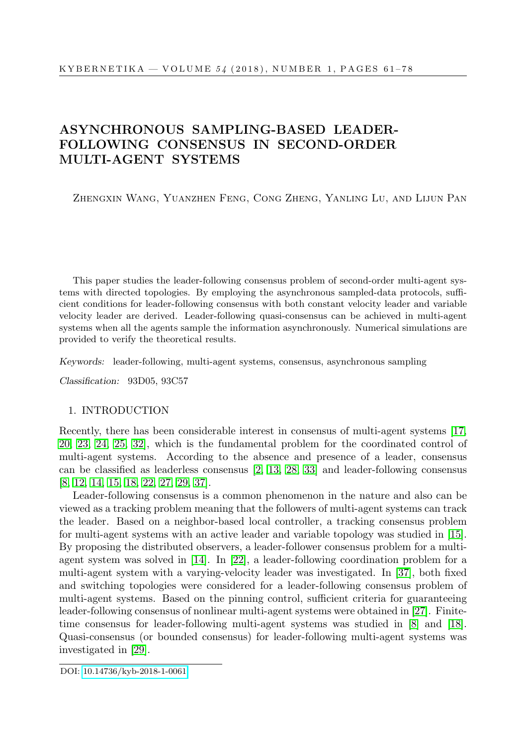# ASYNCHRONOUS SAMPLING-BASED LEADER-FOLLOWING CONSENSUS IN SECOND-ORDER MULTI-AGENT SYSTEMS

Zhengxin Wang, Yuanzhen Feng, Cong Zheng, Yanling Lu, and Lijun Pan

This paper studies the leader-following consensus problem of second-order multi-agent systems with directed topologies. By employing the asynchronous sampled-data protocols, sufficient conditions for leader-following consensus with both constant velocity leader and variable velocity leader are derived. Leader-following quasi-consensus can be achieved in multi-agent systems when all the agents sample the information asynchronously. Numerical simulations are provided to verify the theoretical results.

Keywords: leader-following, multi-agent systems, consensus, asynchronous sampling

Classification: 93D05, 93C57

## 1. INTRODUCTION

Recently, there has been considerable interest in consensus of multi-agent systems [\[17,](#page-15-0) [20,](#page-16-0) [23,](#page-16-1) [24,](#page-16-2) [25,](#page-16-3) [32\]](#page-16-4), which is the fundamental problem for the coordinated control of multi-agent systems. According to the absence and presence of a leader, consensus can be classified as leaderless consensus [\[2,](#page-14-0) [13,](#page-15-1) [28,](#page-16-5) [33\]](#page-16-6) and leader-following consensus [\[8,](#page-15-2) [12,](#page-15-3) [14,](#page-15-4) [15,](#page-15-5) [18,](#page-15-6) [22,](#page-16-7) [27,](#page-16-8) [29,](#page-16-9) [37\]](#page-17-0).

Leader-following consensus is a common phenomenon in the nature and also can be viewed as a tracking problem meaning that the followers of multi-agent systems can track the leader. Based on a neighbor-based local controller, a tracking consensus problem for multi-agent systems with an active leader and variable topology was studied in [\[15\]](#page-15-5). By proposing the distributed observers, a leader-follower consensus problem for a multiagent system was solved in [\[14\]](#page-15-4). In [\[22\]](#page-16-7), a leader-following coordination problem for a multi-agent system with a varying-velocity leader was investigated. In [\[37\]](#page-17-0), both fixed and switching topologies were considered for a leader-following consensus problem of multi-agent systems. Based on the pinning control, sufficient criteria for guaranteeing leader-following consensus of nonlinear multi-agent systems were obtained in [\[27\]](#page-16-8). Finitetime consensus for leader-following multi-agent systems was studied in [\[8\]](#page-15-2) and [\[18\]](#page-15-6). Quasi-consensus (or bounded consensus) for leader-following multi-agent systems was investigated in [\[29\]](#page-16-9).

DOI: [10.14736/kyb-2018-1-0061](http://doi.org/10.14736/kyb-2018-1-0061)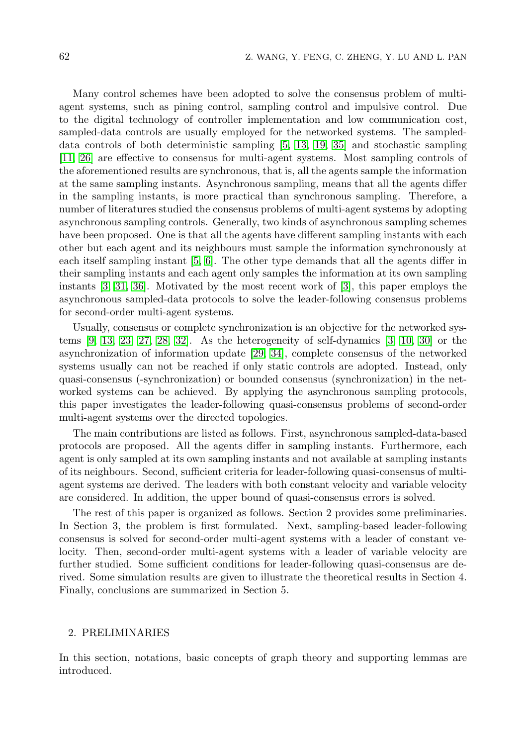Many control schemes have been adopted to solve the consensus problem of multiagent systems, such as pining control, sampling control and impulsive control. Due to the digital technology of controller implementation and low communication cost, sampled-data controls are usually employed for the networked systems. The sampleddata controls of both deterministic sampling [\[5,](#page-15-7) [13,](#page-15-1) [19,](#page-16-10) [35\]](#page-17-1) and stochastic sampling [\[11,](#page-15-8) [26\]](#page-16-11) are effective to consensus for multi-agent systems. Most sampling controls of the aforementioned results are synchronous, that is, all the agents sample the information at the same sampling instants. Asynchronous sampling, means that all the agents differ in the sampling instants, is more practical than synchronous sampling. Therefore, a number of literatures studied the consensus problems of multi-agent systems by adopting asynchronous sampling controls. Generally, two kinds of asynchronous sampling schemes have been proposed. One is that all the agents have different sampling instants with each other but each agent and its neighbours must sample the information synchronously at each itself sampling instant [\[5,](#page-15-7) [6\]](#page-15-9). The other type demands that all the agents differ in their sampling instants and each agent only samples the information at its own sampling instants [\[3,](#page-15-10) [31,](#page-16-12) [36\]](#page-17-2). Motivated by the most recent work of [\[3\]](#page-15-10), this paper employs the asynchronous sampled-data protocols to solve the leader-following consensus problems for second-order multi-agent systems.

Usually, consensus or complete synchronization is an objective for the networked systems  $[9, 13, 23, 27, 28, 32]$  $[9, 13, 23, 27, 28, 32]$  $[9, 13, 23, 27, 28, 32]$  $[9, 13, 23, 27, 28, 32]$  $[9, 13, 23, 27, 28, 32]$  $[9, 13, 23, 27, 28, 32]$ . As the heterogeneity of self-dynamics  $[3, 10, 30]$  $[3, 10, 30]$  $[3, 10, 30]$  or the asynchronization of information update [\[29,](#page-16-9) [34\]](#page-16-14), complete consensus of the networked systems usually can not be reached if only static controls are adopted. Instead, only quasi-consensus (-synchronization) or bounded consensus (synchronization) in the networked systems can be achieved. By applying the asynchronous sampling protocols, this paper investigates the leader-following quasi-consensus problems of second-order multi-agent systems over the directed topologies.

The main contributions are listed as follows. First, asynchronous sampled-data-based protocols are proposed. All the agents differ in sampling instants. Furthermore, each agent is only sampled at its own sampling instants and not available at sampling instants of its neighbours. Second, sufficient criteria for leader-following quasi-consensus of multiagent systems are derived. The leaders with both constant velocity and variable velocity are considered. In addition, the upper bound of quasi-consensus errors is solved.

The rest of this paper is organized as follows. Section 2 provides some preliminaries. In Section 3, the problem is first formulated. Next, sampling-based leader-following consensus is solved for second-order multi-agent systems with a leader of constant velocity. Then, second-order multi-agent systems with a leader of variable velocity are further studied. Some sufficient conditions for leader-following quasi-consensus are derived. Some simulation results are given to illustrate the theoretical results in Section 4. Finally, conclusions are summarized in Section 5.

#### 2. PRELIMINARIES

In this section, notations, basic concepts of graph theory and supporting lemmas are introduced.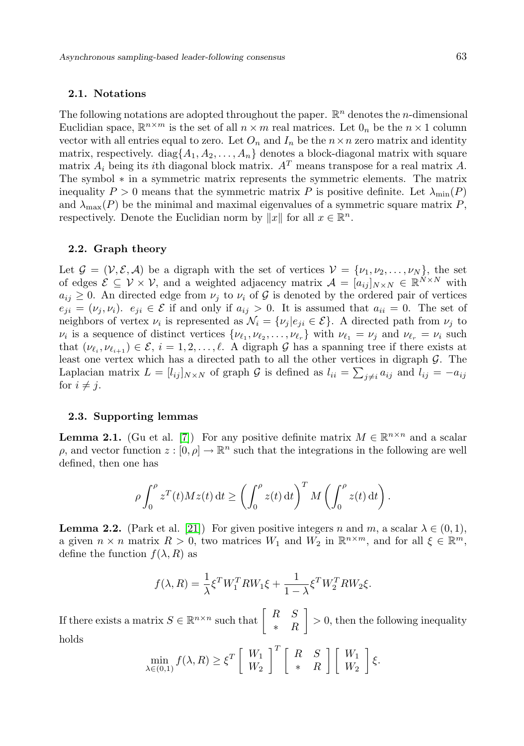## 2.1. Notations

The following notations are adopted throughout the paper.  $\mathbb{R}^n$  denotes the *n*-dimensional Euclidian space,  $\mathbb{R}^{n \times m}$  is the set of all  $n \times m$  real matrices. Let  $0_n$  be the  $n \times 1$  column vector with all entries equal to zero. Let  $O_n$  and  $I_n$  be the  $n \times n$  zero matrix and identity matrix, respectively. diag $\{A_1, A_2, \ldots, A_n\}$  denotes a block-diagonal matrix with square matrix  $A_i$  being its ith diagonal block matrix.  $A<sup>T</sup>$  means transpose for a real matrix A. The symbol ∗ in a symmetric matrix represents the symmetric elements. The matrix inequality  $P > 0$  means that the symmetric matrix P is positive definite. Let  $\lambda_{\min}(P)$ and  $\lambda_{\text{max}}(P)$  be the minimal and maximal eigenvalues of a symmetric square matrix P, respectively. Denote the Euclidian norm by  $||x||$  for all  $x \in \mathbb{R}^n$ .

#### 2.2. Graph theory

Let  $\mathcal{G} = (\mathcal{V}, \mathcal{E}, \mathcal{A})$  be a digraph with the set of vertices  $\mathcal{V} = {\nu_1, \nu_2, \dots, \nu_N}$ , the set of edges  $\mathcal{E} \subseteq \mathcal{V} \times \mathcal{V}$ , and a weighted adjacency matrix  $\mathcal{A} = [a_{ij}]_{N \times N} \in \mathbb{R}^{\tilde{N} \times N}$  with  $a_{ij} \geq 0$ . An directed edge from  $\nu_i$  to  $\nu_i$  of G is denoted by the ordered pair of vertices  $e_{ji} = (\nu_j, \nu_i)$ .  $e_{ji} \in \mathcal{E}$  if and only if  $a_{ij} > 0$ . It is assumed that  $a_{ii} = 0$ . The set of neighbors of vertex  $\nu_i$  is represented as  $\mathcal{N}_i = {\nu_j | e_{ji} \in \mathcal{E}}$ . A directed path from  $\nu_j$  to  $\nu_i$  is a sequence of distinct vertices  $\{\nu_{\ell_1}, \nu_{\ell_2}, \ldots, \nu_{\ell_r}\}\$  with  $\nu_{\ell_1} = \nu_j$  and  $\nu_{\ell_r} = \nu_i$  such that  $(\nu_{\ell_i}, \nu_{\ell_{i+1}}) \in \mathcal{E}, i = 1, 2, \ldots, \ell$ . A digraph G has a spanning tree if there exists at least one vertex which has a directed path to all the other vertices in digraph  $\mathcal{G}$ . The Laplacian matrix  $L = [l_{ij}]_{N \times N}$  of graph G is defined as  $l_{ii} = \sum_{j \neq i} a_{ij}$  and  $l_{ij} = -a_{ij}$ for  $i \neq j$ .

#### 2.3. Supporting lemmas

<span id="page-2-0"></span>**Lemma 2.1.** (Gu et al. [\[7\]](#page-15-13)) For any positive definite matrix  $M \in \mathbb{R}^{n \times n}$  and a scalar  $\rho$ , and vector function  $z : [0, \rho] \to \mathbb{R}^n$  such that the integrations in the following are well defined, then one has

$$
\rho \int_0^{\rho} z^T(t) M z(t) dt \ge \left( \int_0^{\rho} z(t) dt \right)^T M \left( \int_0^{\rho} z(t) dt \right).
$$

<span id="page-2-1"></span>**Lemma 2.2.** (Park et al. [\[21\]](#page-16-15)) For given positive integers n and m, a scalar  $\lambda \in (0,1)$ , a given  $n \times n$  matrix  $R > 0$ , two matrices  $W_1$  and  $W_2$  in  $\mathbb{R}^{n \times m}$ , and for all  $\xi \in \mathbb{R}^m$ , define the function  $f(\lambda, R)$  as

$$
f(\lambda, R) = \frac{1}{\lambda} \xi^T W_1^T R W_1 \xi + \frac{1}{1 - \lambda} \xi^T W_2^T R W_2 \xi.
$$

<span id="page-2-2"></span>If there exists a matrix  $S \in \mathbb{R}^{n \times n}$  such that  $\begin{bmatrix} R & S \\ \vdots & R \end{bmatrix}$ ∗ R  $\bigg] > 0$ , then the following inequality holds

$$
\min_{\lambda \in (0,1)} f(\lambda, R) \ge \xi^T \left[ \begin{array}{c} W_1 \\ W_2 \end{array} \right]^T \left[ \begin{array}{cc} R & S \\ * & R \end{array} \right] \left[ \begin{array}{c} W_1 \\ W_2 \end{array} \right] \xi.
$$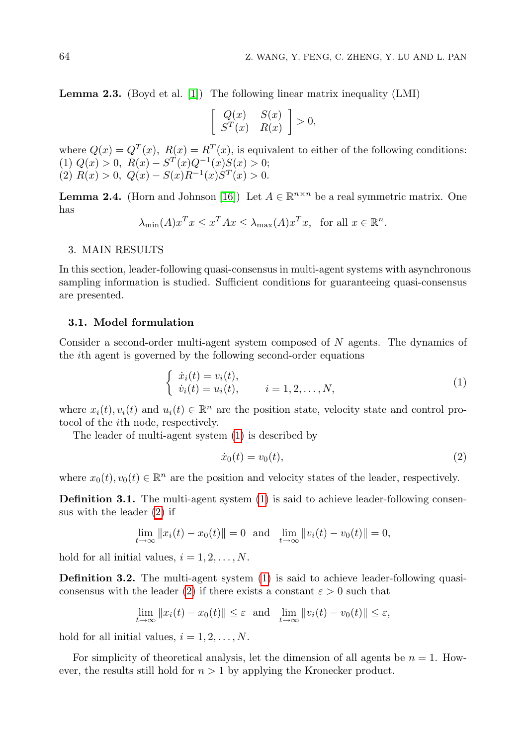Lemma 2.3. (Boyd et al. [\[1\]](#page-14-1)) The following linear matrix inequality (LMI)

$$
\left[\begin{array}{cc} Q(x) & S(x) \\ S^T(x) & R(x) \end{array}\right] > 0,
$$

where  $Q(x) = Q^T(x)$ ,  $R(x) = R^T(x)$ , is equivalent to either of the following conditions: (1)  $Q(x) > 0$ ,  $R(x) - S<sup>T</sup>(x)Q<sup>-1</sup>(x)S(x) > 0$ ; (2)  $R(x) > 0$ ,  $Q(x) - S(x)R^{-1}(x)S^{T}(x) > 0$ .

<span id="page-3-2"></span>**Lemma 2.4.** (Horn and Johnson [\[16\]](#page-15-14)) Let  $A \in \mathbb{R}^{n \times n}$  be a real symmetric matrix. One has

$$
\lambda_{\min}(A)x^T x \le x^T A x \le \lambda_{\max}(A)x^T x, \text{ for all } x \in \mathbb{R}^n.
$$

#### 3. MAIN RESULTS

In this section, leader-following quasi-consensus in multi-agent systems with asynchronous sampling information is studied. Sufficient conditions for guaranteeing quasi-consensus are presented.

#### 3.1. Model formulation

Consider a second-order multi-agent system composed of N agents. The dynamics of the ith agent is governed by the following second-order equations

<span id="page-3-0"></span>
$$
\begin{cases} \n\dot{x}_i(t) = v_i(t), \\ \n\dot{v}_i(t) = u_i(t), \n\end{cases} \n\quad i = 1, 2, ..., N,
$$
\n(1)

where  $x_i(t), v_i(t)$  and  $u_i(t) \in \mathbb{R}^n$  are the position state, velocity state and control protocol of the ith node, respectively.

The leader of multi-agent system [\(1\)](#page-3-0) is described by

<span id="page-3-1"></span>
$$
\dot{x}_0(t) = v_0(t),
$$
\n(2)

where  $x_0(t), v_0(t) \in \mathbb{R}^n$  are the position and velocity states of the leader, respectively.

**Definition 3.1.** The multi-agent system [\(1\)](#page-3-0) is said to achieve leader-following consensus with the leader [\(2\)](#page-3-1) if

$$
\lim_{t \to \infty} ||x_i(t) - x_0(t)|| = 0 \text{ and } \lim_{t \to \infty} ||v_i(t) - v_0(t)|| = 0,
$$

hold for all initial values,  $i = 1, 2, \ldots, N$ .

Definition 3.2. The multi-agent system [\(1\)](#page-3-0) is said to achieve leader-following quasi-consensus with the leader [\(2\)](#page-3-1) if there exists a constant  $\varepsilon > 0$  such that

$$
\lim_{t \to \infty} ||x_i(t) - x_0(t)|| \le \varepsilon \text{ and } \lim_{t \to \infty} ||v_i(t) - v_0(t)|| \le \varepsilon,
$$

hold for all initial values,  $i = 1, 2, \ldots, N$ .

For simplicity of theoretical analysis, let the dimension of all agents be  $n = 1$ . However, the results still hold for  $n > 1$  by applying the Kronecker product.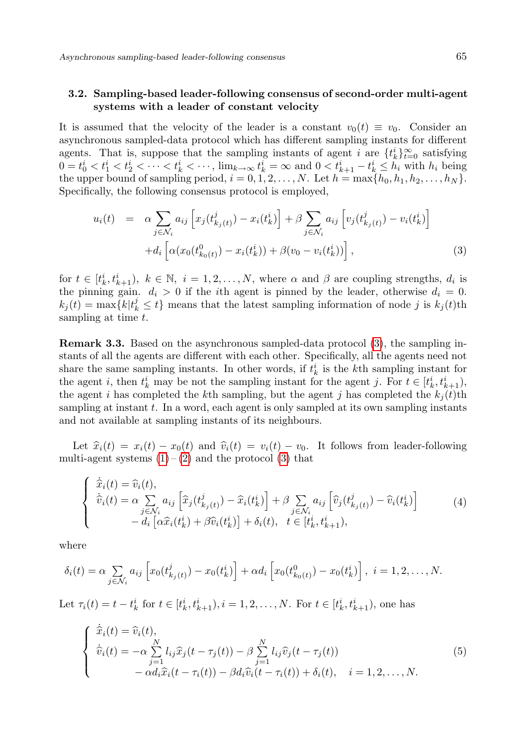# 3.2. Sampling-based leader-following consensus of second-order multi-agent systems with a leader of constant velocity

It is assumed that the velocity of the leader is a constant  $v_0(t) \equiv v_0$ . Consider an asynchronous sampled-data protocol which has different sampling instants for different agents. That is, suppose that the sampling instants of agent i are  $\{t_k^i\}_{i=0}^\infty$  satisfying  $0 = t_0^i < t_1^i < t_2^i < \cdots < t_k^i < \cdots$ ,  $\lim_{k \to \infty} t_k^i = \infty$  and  $0 < t_{k+1}^i - t_k^i \le h_i$  with  $h_i$  being the upper bound of sampling period,  $i = 0, 1, 2, \ldots, N$ . Let  $h = \max\{h_0, h_1, h_2, \ldots, h_N\}$ . Specifically, the following consensus protocol is employed,

<span id="page-4-0"></span>
$$
u_i(t) = \alpha \sum_{j \in \mathcal{N}_i} a_{ij} \left[ x_j(t_{k_j(t)}^j) - x_i(t_k^i) \right] + \beta \sum_{j \in \mathcal{N}_i} a_{ij} \left[ v_j(t_{k_j(t)}^j) - v_i(t_k^i) \right] + d_i \left[ \alpha(x_0(t_{k_0(t)}^0) - x_i(t_k^i)) + \beta(v_0 - v_i(t_k^i)) \right],
$$
\n(3)

for  $t \in [t_k^i, t_{k+1}^i), k \in \mathbb{N}, i = 1, 2, ..., N$ , where  $\alpha$  and  $\beta$  are coupling strengths,  $d_i$  is the pinning gain.  $d_i > 0$  if the *i*th agent is pinned by the leader, otherwise  $d_i = 0$ .  $k_j(t) = \max\{k | t_k^j \leq t\}$  means that the latest sampling information of node j is  $k_j(t)$ th sampling at time t.

Remark 3.3. Based on the asynchronous sampled-data protocol [\(3\)](#page-4-0), the sampling instants of all the agents are different with each other. Specifically, all the agents need not share the same sampling instants. In other words, if  $t_k^i$  is the k<sup>th</sup> sampling instant for the agent *i*, then  $t_k^i$  may be not the sampling instant for the agent *j*. For  $t \in [t_k^i, t_{k+1}^i)$ , the agent i has completed the kth sampling, but the agent j has completed the  $k_i(t)$ th sampling at instant  $t$ . In a word, each agent is only sampled at its own sampling instants and not available at sampling instants of its neighbours.

Let  $\hat{x}_i(t) = x_i(t) - x_0(t)$  and  $\hat{v}_i(t) = v_i(t) - v_0$ . It follows from leader-following multi-agent systems  $(1) - (2)$  $(1) - (2)$  $(1) - (2)$  and the protocol  $(3)$  that

$$
\begin{cases}\n\dot{\hat{x}}_i(t) = \hat{v}_i(t), \\
\dot{\hat{v}}_i(t) = \alpha \sum_{j \in \mathcal{N}_i} a_{ij} \left[ \hat{x}_j(t_{k_j(t)}^j) - \hat{x}_i(t_k^i) \right] + \beta \sum_{j \in \mathcal{N}_i} a_{ij} \left[ \hat{v}_j(t_{k_j(t)}^j) - \hat{v}_i(t_k^i) \right] \\
- d_i \left[ \alpha \hat{x}_i(t_k^i) + \beta \hat{v}_i(t_k^i) \right] + \delta_i(t), \quad t \in [t_k^i, t_{k+1}^i),\n\end{cases}
$$
\n(4)

where

$$
\delta_i(t) = \alpha \sum_{j \in \mathcal{N}_i} a_{ij} \left[ x_0(t_{k_j(t)}^j) - x_0(t_k^i) \right] + \alpha d_i \left[ x_0(t_{k_0(t)}^0) - x_0(t_k^i) \right], \ i = 1, 2, \dots, N.
$$

Let  $\tau_i(t) = t - t_k^i$  for  $t \in [t_k^i, t_{k+1}^i), i = 1, 2, ..., N$ . For  $t \in [t_k^i, t_{k+1}^i)$ , one has

<span id="page-4-1"></span>
$$
\begin{cases}\n\dot{\widehat{x}}_i(t) = \widehat{v}_i(t), \\
\dot{\widehat{v}}_i(t) = -\alpha \sum_{j=1}^N l_{ij} \widehat{x}_j(t - \tau_j(t)) - \beta \sum_{j=1}^N l_{ij} \widehat{v}_j(t - \tau_j(t)) \\
-\alpha d_i \widehat{x}_i(t - \tau_i(t)) - \beta d_i \widehat{v}_i(t - \tau_i(t)) + \delta_i(t), \quad i = 1, 2, ..., N.\n\end{cases}
$$
\n(5)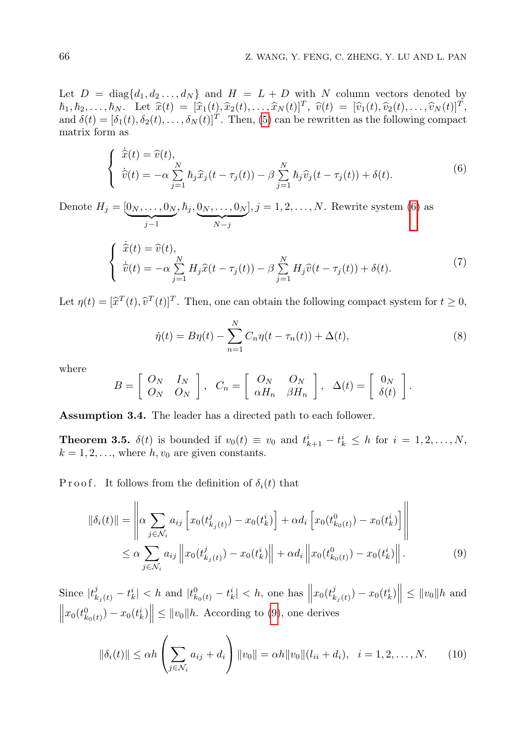Let  $D = \text{diag}\{d_1, d_2, \ldots, d_N\}$  and  $H = L + D$  with N column vectors denoted by  $h_1, h_2, \ldots, h_N$ . Let  $\hat{x}(t) = [\hat{x}_1(t), \hat{x}_2(t), \ldots, \hat{x}_N(t)]^T$ ,  $\hat{v}(t) = [\hat{v}_1(t), \hat{v}_2(t), \ldots, \hat{v}_N(t)]^T$ <br>and  $\delta(t) = [\delta_1(t), \delta_2(t), \ldots, \delta_N(t)]^T$ . Then (5) can be rewritten as the following compact and  $\delta(t) = [\delta_1(t), \delta_2(t), \dots, \delta_N(t)]^T$ . Then, [\(5\)](#page-4-1) can be rewritten as the following compact matrix form as

<span id="page-5-0"></span>
$$
\begin{cases}\n\dot{\hat{x}}(t) = \hat{v}(t), \\
\dot{\hat{v}}(t) = -\alpha \sum_{j=1}^{N} \hbar_j \hat{x}_j(t - \tau_j(t)) - \beta \sum_{j=1}^{N} \hbar_j \hat{v}_j(t - \tau_j(t)) + \delta(t).\n\end{cases} \tag{6}
$$

Denote  $H_j = [0_N, \ldots, 0_N]$  ${j-1}$  $, h_j, 0_N, \ldots, 0_N$  ${\overline{N-j}}$  $], j = 1, 2, \ldots, N.$  Rewrite system [\(6\)](#page-5-0) as

$$
\begin{cases}\n\dot{\widehat{x}}(t) = \widehat{v}(t), \\
\dot{\widehat{v}}(t) = -\alpha \sum_{j=1}^{N} H_j \widehat{x}(t - \tau_j(t)) - \beta \sum_{j=1}^{N} H_j \widehat{v}(t - \tau_j(t)) + \delta(t).\n\end{cases}
$$
\n(7)

Let  $\eta(t) = [\hat{x}^T(t), \hat{v}^T(t)]^T$ . Then, one can obtain the following compact system for  $t \ge 0$ ,

<span id="page-5-3"></span>
$$
\dot{\eta}(t) = B\eta(t) - \sum_{n=1}^{N} C_n \eta(t - \tau_n(t)) + \Delta(t),
$$
\n(8)

where

$$
B = \left[ \begin{array}{cc} O_N & I_N \\ O_N & O_N \end{array} \right], \quad C_n = \left[ \begin{array}{cc} O_N & O_N \\ \alpha H_n & \beta H_n \end{array} \right], \quad \Delta(t) = \left[ \begin{array}{c} 0_N \\ \delta(t) \end{array} \right].
$$

<span id="page-5-2"></span>Assumption 3.4. The leader has a directed path to each follower.

<span id="page-5-4"></span>**Theorem 3.5.**  $\delta(t)$  is bounded if  $v_0(t) \equiv v_0$  and  $t_{k+1}^i - t_k^i \leq h$  for  $i = 1, 2, ..., N$ ,  $k = 1, 2, \ldots$ , where  $h, v_0$  are given constants.

P r o o f. It follows from the definition of  $\delta_i(t)$  that

<span id="page-5-1"></span>
$$
\|\delta_i(t)\| = \left\| \alpha \sum_{j \in \mathcal{N}_i} a_{ij} \left[ x_0(t_{k_j(t)}^j) - x_0(t_k^i) \right] + \alpha d_i \left[ x_0(t_{k_0(t)}^0) - x_0(t_k^i) \right] \right\|
$$
  

$$
\leq \alpha \sum_{j \in \mathcal{N}_i} a_{ij} \left\| x_0(t_{k_j(t)}^j) - x_0(t_k^i) \right\| + \alpha d_i \left\| x_0(t_{k_0(t)}^0) - x_0(t_k^i) \right\|. \tag{9}
$$

Since  $|t_{k_j(t)}^j - t_k^i| < h$  and  $|t_{k_0(t)}^0 - t_k^i| < h$ , one has  $||x_0(t_k^j)||$  $\left\|x_0(t_{k_0(t)}^0) - x_0(t_k^i)\right\| \leq \|v_0\|h.$  According to [\(9\)](#page-5-1), one derives  $\left\| \frac{d^{j}}{k_{j}(t)} \right\| - x_{0}(t_{k}^{i}) \right\| \leq \|v_{0}\| h$  and

$$
\|\delta_i(t)\| \le \alpha h \left(\sum_{j \in \mathcal{N}_i} a_{ij} + d_i\right) \|v_0\| = \alpha h \|v_0\| (l_{ii} + d_i), \quad i = 1, 2, \dots, N. \tag{10}
$$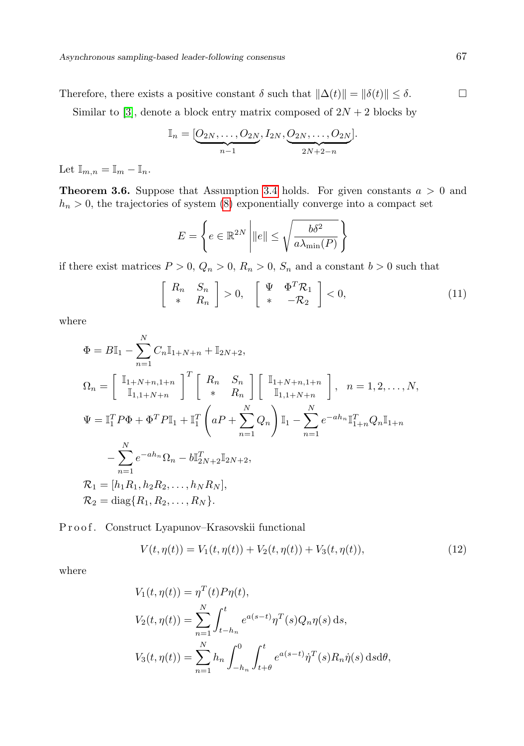Therefore, there exists a positive constant  $\delta$  such that  $\|\Delta(t)\| = \|\delta(t)\| \leq \delta$ .  $\Box$ 

Similar to [\[3\]](#page-15-10), denote a block entry matrix composed of  $2N + 2$  blocks by

$$
\mathbb{I}_n = [\underbrace{O_{2N}, \ldots, O_{2N}}_{n-1}, I_{2N}, \underbrace{O_{2N}, \ldots, O_{2N}}_{2N+2-n}].
$$

Let  $\mathbb{I}_{m,n} = \mathbb{I}_m - \mathbb{I}_n$ .

<span id="page-6-1"></span>**Theorem 3.6.** Suppose that Assumption [3.4](#page-5-2) holds. For given constants  $a > 0$  and  $h_n > 0$ , the trajectories of system [\(8\)](#page-5-3) exponentially converge into a compact set

$$
E = \left\{ e \in \mathbb{R}^{2N} \, \middle| \, \|e\| \le \sqrt{\frac{b\delta^2}{a\lambda_{\min}(P)}} \, \right\}
$$

if there exist matrices  $P > 0$ ,  $Q_n > 0$ ,  $R_n > 0$ ,  $S_n$  and a constant  $b > 0$  such that

<span id="page-6-0"></span>
$$
\begin{bmatrix}\nR_n & S_n \\
* & R_n\n\end{bmatrix} > 0, \quad \begin{bmatrix}\n\Psi & \Phi^T \mathcal{R}_1 \\
* & -\mathcal{R}_2\n\end{bmatrix} < 0,\n\tag{11}
$$

where

$$
\Phi = B\mathbb{I}_{1} - \sum_{n=1}^{N} C_{n} \mathbb{I}_{1+N+n} + \mathbb{I}_{2N+2},
$$
\n
$$
\Omega_{n} = \begin{bmatrix} \mathbb{I}_{1+N+n,1+n} \\ \mathbb{I}_{1,1+N+n} \end{bmatrix}^{T} \begin{bmatrix} R_{n} & S_{n} \\ * & R_{n} \end{bmatrix} \begin{bmatrix} \mathbb{I}_{1+N+n,1+n} \\ \mathbb{I}_{1,1+N+n} \end{bmatrix}, \quad n = 1, 2, \ldots, N,
$$
\n
$$
\Psi = \mathbb{I}_{1}^{T} P \Phi + \Phi^{T} P \mathbb{I}_{1} + \mathbb{I}_{1}^{T} \left( aP + \sum_{n=1}^{N} Q_{n} \right) \mathbb{I}_{1} - \sum_{n=1}^{N} e^{-ah_{n}} \mathbb{I}_{1+n}^{T} Q_{n} \mathbb{I}_{1+n}
$$
\n
$$
- \sum_{n=1}^{N} e^{-ah_{n}} \Omega_{n} - b \mathbb{I}_{2N+2}^{T} \mathbb{I}_{2N+2},
$$
\n
$$
\mathcal{R}_{1} = [h_{1} R_{1}, h_{2} R_{2}, \ldots, h_{N} R_{N}],
$$
\n
$$
\mathcal{R}_{2} = \text{diag} \{R_{1}, R_{2}, \ldots, R_{N} \}.
$$

Proof. Construct Lyapunov–Krasovskii functional

$$
V(t, \eta(t)) = V_1(t, \eta(t)) + V_2(t, \eta(t)) + V_3(t, \eta(t)),
$$
\n(12)

where

$$
V_1(t, \eta(t)) = \eta^T(t) P \eta(t),
$$
  
\n
$$
V_2(t, \eta(t)) = \sum_{n=1}^N \int_{t-h_n}^t e^{a(s-t)} \eta^T(s) Q_n \eta(s) ds,
$$
  
\n
$$
V_3(t, \eta(t)) = \sum_{n=1}^N h_n \int_{-h_n}^0 \int_{t+\theta}^t e^{a(s-t)} \dot{\eta}^T(s) R_n \dot{\eta}(s) ds d\theta,
$$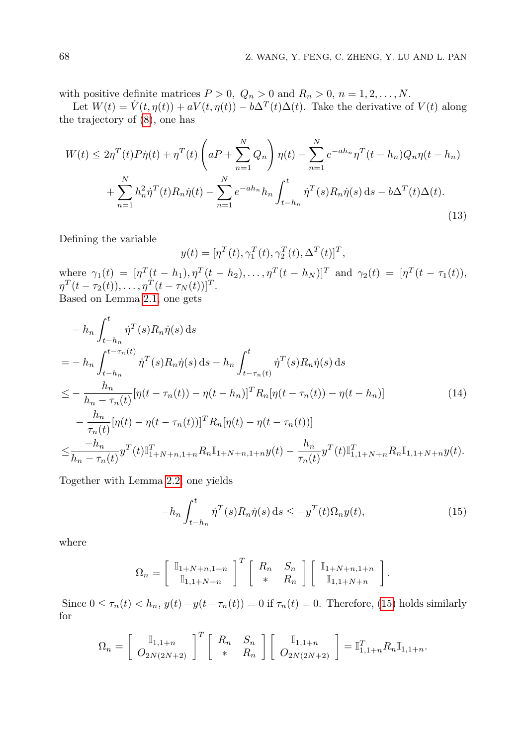with positive definite matrices  $P > 0$ ,  $Q_n > 0$  and  $R_n > 0$ ,  $n = 1, 2, ..., N$ .

Let  $W(t) = \dot{V}(t, \eta(t)) + aV(t, \eta(t)) - b\Delta^{T}(t)\Delta(t)$ . Take the derivative of  $V(t)$  along the trajectory of [\(8\)](#page-5-3), one has

$$
W(t) \le 2\eta^T(t)P\dot{\eta}(t) + \eta^T(t)\left(aP + \sum_{n=1}^N Q_n\right)\eta(t) - \sum_{n=1}^N e^{-ah_n}\eta^T(t - h_n)Q_n\eta(t - h_n) + \sum_{n=1}^N h_n^2\dot{\eta}^T(t)R_n\dot{\eta}(t) - \sum_{n=1}^N e^{-ah_n}h_n\int_{t - h_n}^t \dot{\eta}^T(s)R_n\dot{\eta}(s) ds - b\Delta^T(t)\Delta(t).
$$
\n(13)

Defining the variable

<span id="page-7-1"></span>
$$
y(t) = [\eta^T(t), \gamma_1^T(t), \gamma_2^T(t), \Delta^T(t)]^T,
$$

where  $\gamma_1(t) = [\eta^T(t-h_1), \eta^T(t-h_2), \dots, \eta^T(t-h_N)]^T$  and  $\gamma_2(t) = [\eta^T(t-\tau_1(t)),$  $\eta^{T}(t-\tau_{2}(t)), \ldots, \eta^{T}(t-\tau_{N}(t))]^{T}.$ Based on Lemma [2.1,](#page-2-0) one gets

$$
- h_n \int_{t-h_n}^t \dot{\eta}^T(s) R_n \dot{\eta}(s) ds
$$
  
\n
$$
= - h_n \int_{t-h_n}^{t-\tau_n(t)} \dot{\eta}^T(s) R_n \dot{\eta}(s) ds - h_n \int_{t-\tau_n(t)}^t \dot{\eta}^T(s) R_n \dot{\eta}(s) ds
$$
  
\n
$$
\leq - \frac{h_n}{h_n - \tau_n(t)} [\eta(t-\tau_n(t)) - \eta(t-h_n)]^T R_n [\eta(t-\tau_n(t)) - \eta(t-h_n)]
$$
(14)  
\n
$$
- \frac{h_n}{\tau_n(t)} [\eta(t) - \eta(t-\tau_n(t))]^T R_n [\eta(t) - \eta(t-\tau_n(t))]
$$
  
\n
$$
\leq \frac{-h_n}{h_n - \tau_n(t)} y^T(t) \mathbb{I}_{1+N+n,1+n}^T R_n \mathbb{I}_{1+N+n,1+n} y(t) - \frac{h_n}{\tau_n(t)} y^T(t) \mathbb{I}_{1,1+N+n}^T R_n \mathbb{I}_{1,1+N+n} y(t).
$$

Together with Lemma [2.2,](#page-2-1) one yields

<span id="page-7-0"></span>
$$
-h_n \int_{t-h_n}^t \dot{\eta}^T(s) R_n \dot{\eta}(s) ds \le -y^T(t) \Omega_n y(t), \tag{15}
$$

where

$$
\Omega_n = \left[ \begin{array}{c} \mathbb{I}_{1+N+n,1+n} \\ \mathbb{I}_{1,1+N+n} \end{array} \right]^T \left[ \begin{array}{cc} R_n & S_n \\ * & R_n \end{array} \right] \left[ \begin{array}{c} \mathbb{I}_{1+N+n,1+n} \\ \mathbb{I}_{1,1+N+n} \end{array} \right].
$$

Since  $0 \leq \tau_n(t) < h_n$ ,  $y(t) - y(t - \tau_n(t)) = 0$  if  $\tau_n(t) = 0$ . Therefore, [\(15\)](#page-7-0) holds similarly for

$$
\Omega_n = \left[ \begin{array}{cc} \mathbb{I}_{1,1+n} \\ O_{2N(2N+2)} \end{array} \right]^T \left[ \begin{array}{cc} R_n & S_n \\ * & R_n \end{array} \right] \left[ \begin{array}{c} \mathbb{I}_{1,1+n} \\ O_{2N(2N+2)} \end{array} \right] = \mathbb{I}_{1,1+n}^T R_n \mathbb{I}_{1,1+n}.
$$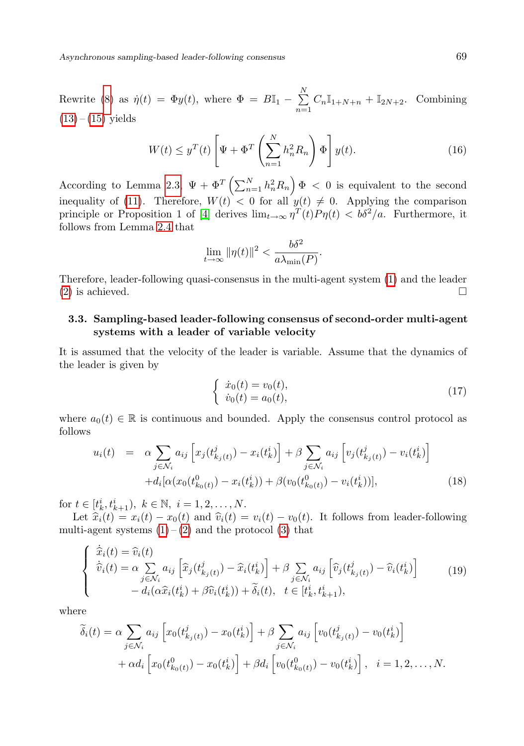Asynchronous sampling-based leader-following consensus 69

Rewrite [\(8\)](#page-5-3) as  $\dot{\eta}(t) = \Phi y(t)$ , where  $\Phi = B \mathbb{I}_1 - \sum_{k=1}^{N} A_k$  $\sum_{n=1}^{\infty} C_n \mathbb{I}_{1+N+n} + \mathbb{I}_{2N+2}$ . Combining  $(13) - (15)$  $(13) - (15)$  $(13) - (15)$  yields

$$
W(t) \le y^T(t) \left[ \Psi + \Phi^T \left( \sum_{n=1}^N h_n^2 R_n \right) \Phi \right] y(t). \tag{16}
$$

According to Lemma [2.3,](#page-2-2)  $\Psi + \Phi^T \left( \sum_{n=1}^N h_n^2 R_n \right) \Phi < 0$  is equivalent to the second inequality of [\(11\)](#page-6-0). Therefore,  $W(t) < 0$  for all  $y(t) \neq 0$ . Applying the comparison principle or Proposition 1 of [\[4\]](#page-15-15) derives  $\lim_{t\to\infty} \eta^T(t) P \eta(t) < b\delta^2/a$ . Furthermore, it follows from Lemma [2.4](#page-3-2) that

$$
\lim_{t \to \infty} \|\eta(t)\|^2 < \frac{b\delta^2}{a\lambda_{\min}(P)}.
$$

Therefore, leader-following quasi-consensus in the multi-agent system [\(1\)](#page-3-0) and the leader [\(2\)](#page-3-1) is achieved.  $\square$ 

# 3.3. Sampling-based leader-following consensus of second-order multi-agent systems with a leader of variable velocity

It is assumed that the velocity of the leader is variable. Assume that the dynamics of the leader is given by

$$
\begin{cases} \n\dot{x}_0(t) = v_0(t), \\ \n\dot{v}_0(t) = a_0(t), \n\end{cases} \n\tag{17}
$$

where  $a_0(t) \in \mathbb{R}$  is continuous and bounded. Apply the consensus control protocol as follows

<span id="page-8-0"></span>
$$
u_i(t) = \alpha \sum_{j \in \mathcal{N}_i} a_{ij} \left[ x_j(t_{k_j(t)}^j) - x_i(t_k^i) \right] + \beta \sum_{j \in \mathcal{N}_i} a_{ij} \left[ v_j(t_{k_j(t)}^j) - v_i(t_k^i) \right] + d_i [\alpha(x_0(t_{k_0(t)}^0) - x_i(t_k^i)) + \beta(v_0(t_{k_0(t)}^0) - v_i(t_k^i))], \tag{18}
$$

for  $t \in [t_k^i, t_{k+1}^i), k \in \mathbb{N}, i = 1, 2, ..., N$ .

Let  $\hat{x}_i(t) = x_i(t) - x_0(t)$  and  $\hat{v}_i(t) = v_i(t) - v_0(t)$ . It follows from leader-following multi-agent systems  $(1) - (2)$  $(1) - (2)$  $(1) - (2)$  and the protocol  $(3)$  that

$$
\begin{cases}\n\dot{\widehat{x}}_i(t) = \widehat{v}_i(t) \\
\dot{\widehat{v}}_i(t) = \alpha \sum_{j \in \mathcal{N}_i} a_{ij} \left[ \widehat{x}_j(t_{k_j(t)}^j) - \widehat{x}_i(t_k^i) \right] + \beta \sum_{j \in \mathcal{N}_i} a_{ij} \left[ \widehat{v}_j(t_{k_j(t)}^j) - \widehat{v}_i(t_k^i) \right] \\
- d_i(\alpha \widehat{x}_i(t_k^i) + \beta \widehat{v}_i(t_k^i)) + \widetilde{\delta}_i(t), \quad t \in [t_k^i, t_{k+1}^i),\n\end{cases}
$$
\n(19)

where

$$
\widetilde{\delta}_{i}(t) = \alpha \sum_{j \in \mathcal{N}_{i}} a_{ij} \left[ x_{0}(t_{k_{j}(t)}^{j}) - x_{0}(t_{k}^{i}) \right] + \beta \sum_{j \in \mathcal{N}_{i}} a_{ij} \left[ v_{0}(t_{k_{j}(t)}^{j}) - v_{0}(t_{k}^{i}) \right] \n+ \alpha d_{i} \left[ x_{0}(t_{k_{0}(t)}^{0}) - x_{0}(t_{k}^{i}) \right] + \beta d_{i} \left[ v_{0}(t_{k_{0}(t)}^{0}) - v_{0}(t_{k}^{i}) \right], \quad i = 1, 2, ..., N.
$$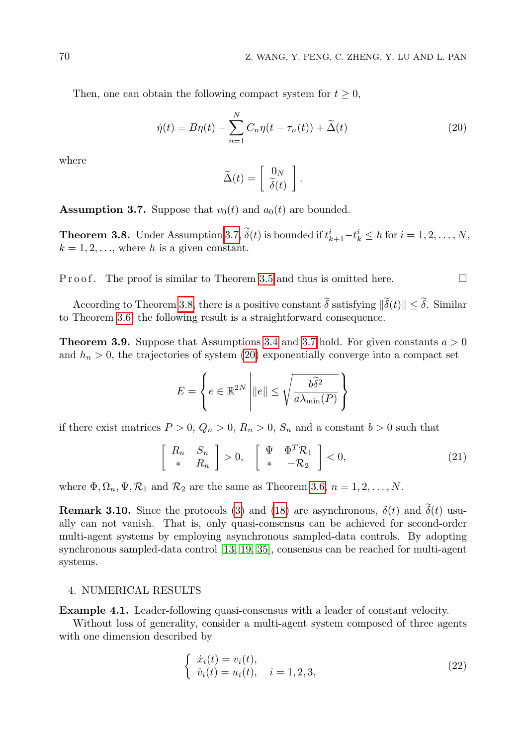Then, one can obtain the following compact system for  $t \geq 0$ ,

<span id="page-9-2"></span>
$$
\dot{\eta}(t) = B\eta(t) - \sum_{n=1}^{N} C_n \eta(t - \tau_n(t)) + \tilde{\Delta}(t)
$$
\n(20)

where

$$
\widetilde{\Delta}(t) = \left[ \begin{array}{c} 0_N \\ \widetilde{\delta}(t) \end{array} \right].
$$

<span id="page-9-0"></span>**Assumption 3.7.** Suppose that  $v_0(t)$  and  $a_0(t)$  are bounded.

<span id="page-9-1"></span>**Theorem 3.8.** Under Assumption [3.7,](#page-9-0)  $\delta(t)$  is bounded if  $t_{k+1}^i - t_k^i \leq h$  for  $i = 1, 2, ..., N$ ,  $k = 1, 2, \ldots$ , where h is a given constant.

P r o o f . The proof is similar to Theorem [3.5](#page-5-4) and thus is omitted here.

According to Theorem [3.8,](#page-9-1) there is a positive constant  $\tilde{\delta}$  satisfying  $\|\tilde{\delta}(t)\| \leq \tilde{\delta}$ . Similar to Theorem [3.6,](#page-6-1) the following result is a straightforward consequence.

**Theorem 3.9.** Suppose that Assumptions [3.4](#page-5-2) and [3.7](#page-9-0) hold. For given constants  $a > 0$ and  $h_n > 0$ , the trajectories of system [\(20\)](#page-9-2) exponentially converge into a compact set

$$
E = \left\{ e \in \mathbb{R}^{2N} \, \middle| \, \|e\| \le \sqrt{\frac{b\widetilde{\delta}^2}{a\lambda_{\min}(P)}} \right\}
$$

if there exist matrices  $P > 0$ ,  $Q_n > 0$ ,  $R_n > 0$ ,  $S_n$  and a constant  $b > 0$  such that

$$
\begin{bmatrix}\nR_n & S_n \\
* & R_n\n\end{bmatrix} > 0, \quad \begin{bmatrix}\n\Psi & \Phi^T \mathcal{R}_1 \\
* & -\mathcal{R}_2\n\end{bmatrix} < 0,\n\tag{21}
$$

where  $\Phi$ ,  $\Omega_n$ ,  $\Psi$ ,  $\mathcal{R}_1$  and  $\mathcal{R}_2$  are the same as Theorem [3.6,](#page-6-1)  $n = 1, 2, ..., N$ .

**Remark 3.10.** Since the protocols [\(3\)](#page-4-0) and [\(18\)](#page-8-0) are asynchronous,  $\delta(t)$  and  $\delta(t)$  usually can not vanish. That is, only quasi-consensus can be achieved for second-order multi-agent systems by employing asynchronous sampled-data controls. By adopting synchronous sampled-data control [\[13,](#page-15-1) [19,](#page-16-10) [35\]](#page-17-1), consensus can be reached for multi-agent systems.

## 4. NUMERICAL RESULTS

<span id="page-9-4"></span>Example 4.1. Leader-following quasi-consensus with a leader of constant velocity.

Without loss of generality, consider a multi-agent system composed of three agents with one dimension described by

<span id="page-9-3"></span>
$$
\begin{cases} \n\dot{x}_i(t) = v_i(t), \\ \n\dot{v}_i(t) = u_i(t), \quad i = 1, 2, 3,\n\end{cases}
$$
\n(22)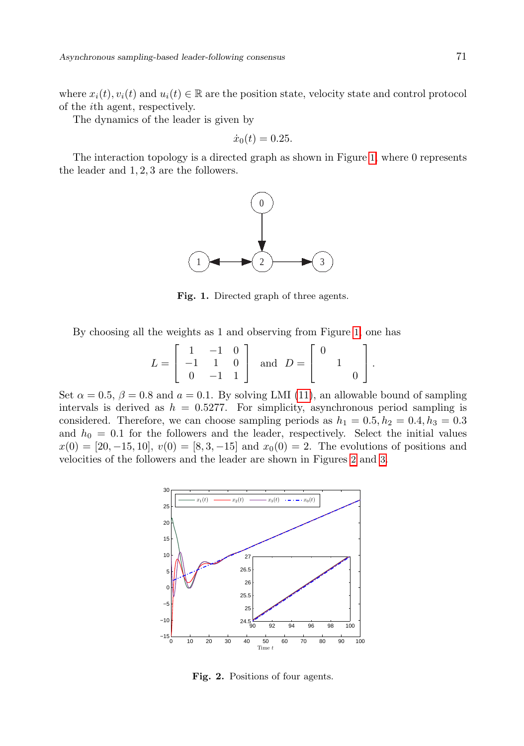where  $x_i(t), v_i(t)$  and  $u_i(t) \in \mathbb{R}$  are the position state, velocity state and control protocol of the ith agent, respectively.

The dynamics of the leader is given by

$$
\dot{x}_0(t) = 0.25.
$$

The interaction topology is a directed graph as shown in Figure [1](#page-10-0), where 0 represents the leader and 1, 2, 3 are the followers.



<span id="page-10-0"></span>Fig. 1. Directed graph of three agents.

By choosing all the weights as 1 and observing from Figure [1](#page-10-0), one has

$$
L = \begin{bmatrix} 1 & -1 & 0 \\ -1 & 1 & 0 \\ 0 & -1 & 1 \end{bmatrix} \text{ and } D = \begin{bmatrix} 0 \\ 1 \\ 0 \end{bmatrix}.
$$

Set  $\alpha = 0.5$ ,  $\beta = 0.8$  and  $a = 0.1$ . By solving LMI [\(11\)](#page-6-0), an allowable bound of sampling intervals is derived as  $h = 0.5277$ . For simplicity, asynchronous period sampling is considered. Therefore, we can choose sampling periods as  $h_1 = 0.5, h_2 = 0.4, h_3 = 0.3$ and  $h_0 = 0.1$  for the followers and the leader, respectively. Select the initial values  $x(0) = [20, -15, 10], v(0) = [8, 3, -15]$  and  $x_0(0) = 2$ . The evolutions of positions and velocities of the followers and the leader are shown in Figures [2](#page-10-1) and [3](#page-11-0).



<span id="page-10-1"></span>Fig. 2. Positions of four agents.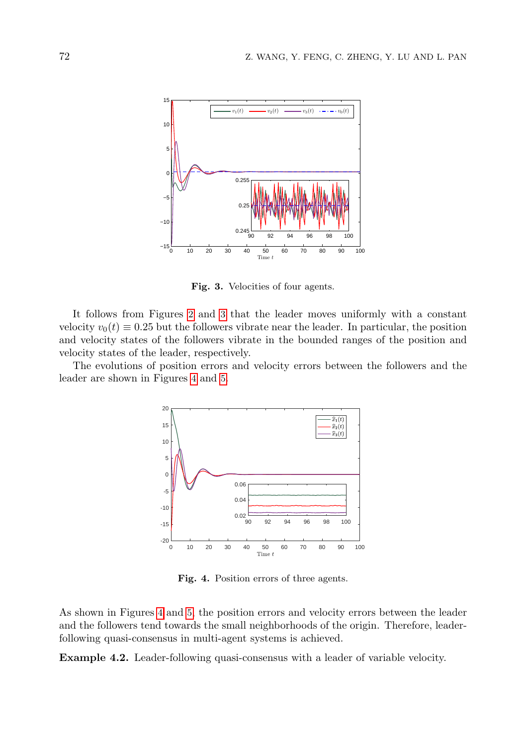

<span id="page-11-0"></span>Fig. 3. Velocities of four agents.

It follows from Figures [2](#page-10-1) and [3](#page-11-0) that the leader moves uniformly with a constant velocity  $v_0(t) \equiv 0.25$  but the followers vibrate near the leader. In particular, the position and velocity states of the followers vibrate in the bounded ranges of the position and velocity states of the leader, respectively.

The evolutions of position errors and velocity errors between the followers and the leader are shown in Figures [4](#page-11-1) and [5](#page-12-0).



<span id="page-11-1"></span>Fig. 4. Position errors of three agents.

As shown in Figures [4](#page-11-1) and [5](#page-12-0), the position errors and velocity errors between the leader and the followers tend towards the small neighborhoods of the origin. Therefore, leaderfollowing quasi-consensus in multi-agent systems is achieved.

Example 4.2. Leader-following quasi-consensus with a leader of variable velocity.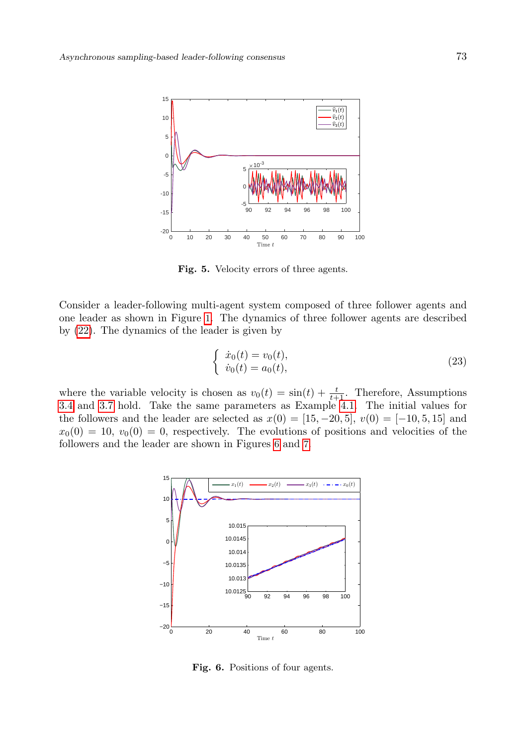

Fig. 5. Velocity errors of three agents.

Consider a leader-following multi-agent system composed of three follower agents and one leader as shown in Figure [1](#page-10-0). The dynamics of three follower agents are described by [\(22\)](#page-9-3). The dynamics of the leader is given by

<span id="page-12-0"></span>
$$
\begin{cases} \n\dot{x}_0(t) = v_0(t), \\ \n\dot{v}_0(t) = a_0(t), \n\end{cases} \n\tag{23}
$$

where the variable velocity is chosen as  $v_0(t) = \sin(t) + \frac{t}{t+1}$ . Therefore, Assumptions [3.4](#page-5-2) and [3.7](#page-9-0) hold. Take the same parameters as Example [4.1.](#page-9-4) The initial values for the followers and the leader are selected as  $x(0) = [15, -20, 5], v(0) = [-10, 5, 15]$  and  $x_0(0) = 10, v_0(0) = 0$ , respectively. The evolutions of positions and velocities of the followers and the leader are shown in Figures [6](#page-12-1) and [7](#page-13-0).



<span id="page-12-1"></span>Fig. 6. Positions of four agents.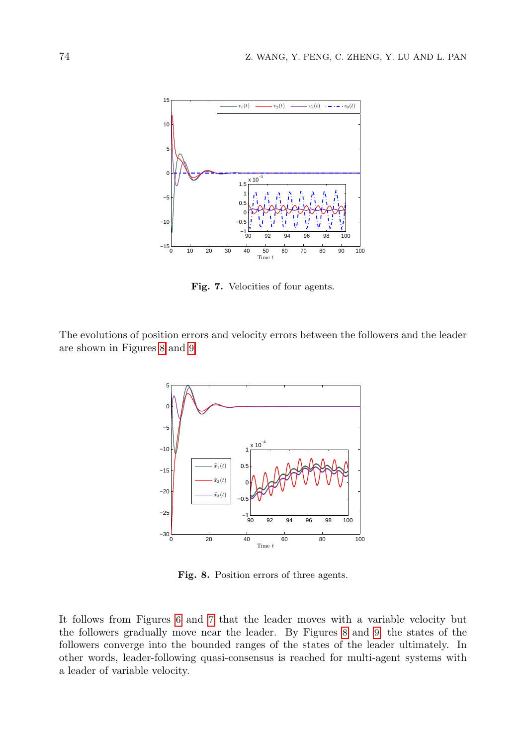

<span id="page-13-0"></span>Fig. 7. Velocities of four agents.

The evolutions of position errors and velocity errors between the followers and the leader are shown in Figures [8](#page-13-1) and [9](#page-14-2).



<span id="page-13-1"></span>Fig. 8. Position errors of three agents.

It follows from Figures [6](#page-12-1) and [7](#page-13-0) that the leader moves with a variable velocity but the followers gradually move near the leader. By Figures [8](#page-13-1) and [9](#page-14-2), the states of the followers converge into the bounded ranges of the states of the leader ultimately. In other words, leader-following quasi-consensus is reached for multi-agent systems with a leader of variable velocity.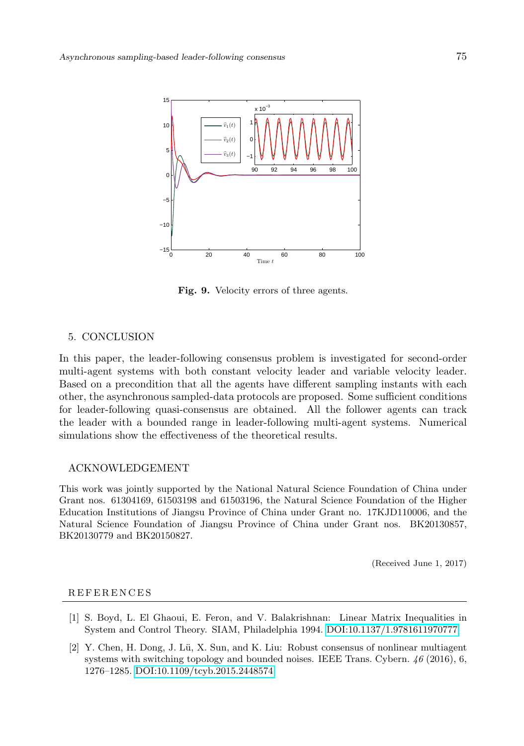

<span id="page-14-2"></span>Fig. 9. Velocity errors of three agents.

#### 5. CONCLUSION

In this paper, the leader-following consensus problem is investigated for second-order multi-agent systems with both constant velocity leader and variable velocity leader. Based on a precondition that all the agents have different sampling instants with each other, the asynchronous sampled-data protocols are proposed. Some sufficient conditions for leader-following quasi-consensus are obtained. All the follower agents can track the leader with a bounded range in leader-following multi-agent systems. Numerical simulations show the effectiveness of the theoretical results.

## ACKNOWLEDGEMENT

This work was jointly supported by the National Natural Science Foundation of China under Grant nos. 61304169, 61503198 and 61503196, the Natural Science Foundation of the Higher Education Institutions of Jiangsu Province of China under Grant no. 17KJD110006, and the Natural Science Foundation of Jiangsu Province of China under Grant nos. BK20130857, BK20130779 and BK20150827.

(Received June 1, 2017)

#### **REFERENCES**

- <span id="page-14-1"></span>[1] S. Boyd, L. El Ghaoui, E. Feron, and V. Balakrishnan: Linear Matrix Inequalities in System and Control Theory. SIAM, Philadelphia 1994. [DOI:10.1137/1.9781611970777](http://dx.doi.org/10.1137/1.9781611970777)
- <span id="page-14-0"></span>[2] Y. Chen, H. Dong, J. Lü, X. Sun, and K. Liu: Robust consensus of nonlinear multiagent systems with switching topology and bounded noises. IEEE Trans. Cybern. 46 (2016), 6, 1276–1285. [DOI:10.1109/tcyb.2015.2448574](http://dx.doi.org/10.1109/tcyb.2015.2448574)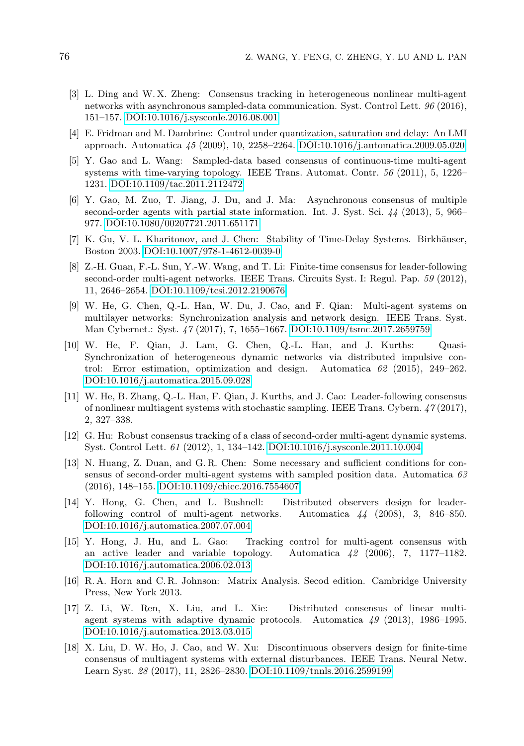- <span id="page-15-10"></span>[3] L. Ding and W. X. Zheng: Consensus tracking in heterogeneous nonlinear multi-agent networks with asynchronous sampled-data communication. Syst. Control Lett. 96 (2016), 151–157. [DOI:10.1016/j.sysconle.2016.08.001](http://dx.doi.org/10.1016/j.sysconle.2016.08.001)
- <span id="page-15-15"></span>[4] E. Fridman and M. Dambrine: Control under quantization, saturation and delay: An LMI approach. Automatica 45 (2009), 10, 2258–2264. [DOI:10.1016/j.automatica.2009.05.020](http://dx.doi.org/10.1016/j.automatica.2009.05.020)
- <span id="page-15-7"></span>[5] Y. Gao and L. Wang: Sampled-data based consensus of continuous-time multi-agent systems with time-varying topology. IEEE Trans. Automat. Contr. 56 (2011), 5, 1226– 1231. [DOI:10.1109/tac.2011.2112472](http://dx.doi.org/10.1109/tac.2011.2112472)
- <span id="page-15-9"></span>[6] Y. Gao, M. Zuo, T. Jiang, J. Du, and J. Ma: Asynchronous consensus of multiple second-order agents with partial state information. Int. J. Syst. Sci. 44 (2013), 5, 966– 977. [DOI:10.1080/00207721.2011.651171](http://dx.doi.org/10.1080/00207721.2011.651171)
- <span id="page-15-13"></span>[7] K. Gu, V. L. Kharitonov, and J. Chen: Stability of Time-Delay Systems. Birkhäuser, Boston 2003. [DOI:10.1007/978-1-4612-0039-0](http://dx.doi.org/10.1007/978-1-4612-0039-0)
- <span id="page-15-2"></span>[8] Z.-H. Guan, F.-L. Sun, Y.-W. Wang, and T. Li: Finite-time consensus for leader-following second-order multi-agent networks. IEEE Trans. Circuits Syst. I: Regul. Pap. 59 (2012), 11, 2646–2654. [DOI:10.1109/tcsi.2012.2190676](http://dx.doi.org/10.1109/tcsi.2012.2190676)
- <span id="page-15-11"></span>[9] W. He, G. Chen, Q.-L. Han, W. Du, J. Cao, and F. Qian: Multi-agent systems on multilayer networks: Synchronization analysis and network design. IEEE Trans. Syst. Man Cybernet.: Syst. 47 (2017), 7, 1655–1667. [DOI:10.1109/tsmc.2017.2659759](http://dx.doi.org/10.1109/tsmc.2017.2659759)
- <span id="page-15-12"></span>[10] W. He, F. Qian, J. Lam, G. Chen, Q.-L. Han, and J. Kurths: Quasi-Synchronization of heterogeneous dynamic networks via distributed impulsive control: Error estimation, optimization and design. Automatica  $62$  (2015), 249–262. [DOI:10.1016/j.automatica.2015.09.028](http://dx.doi.org/10.1016/j.automatica.2015.09.028)
- <span id="page-15-8"></span>[11] W. He, B. Zhang, Q.-L. Han, F. Qian, J. Kurths, and J. Cao: Leader-following consensus of nonlinear multiagent systems with stochastic sampling. IEEE Trans. Cybern. 47 (2017), 2, 327–338.
- <span id="page-15-3"></span>[12] G. Hu: Robust consensus tracking of a class of second-order multi-agent dynamic systems. Syst. Control Lett. 61 (2012), 1, 134–142. [DOI:10.1016/j.sysconle.2011.10.004](http://dx.doi.org/10.1016/j.sysconle.2011.10.004)
- <span id="page-15-1"></span>[13] N. Huang, Z. Duan, and G. R. Chen: Some necessary and sufficient conditions for consensus of second-order multi-agent systems with sampled position data. Automatica 63 (2016), 148–155. [DOI:10.1109/chicc.2016.7554607](http://dx.doi.org/10.1109/chicc.2016.7554607)
- <span id="page-15-4"></span>[14] Y. Hong, G. Chen, and L. Bushnell: Distributed observers design for leaderfollowing control of multi-agent networks. Automatica 44 (2008), 3, 846–850. [DOI:10.1016/j.automatica.2007.07.004](http://dx.doi.org/10.1016/j.automatica.2007.07.004)
- <span id="page-15-5"></span>[15] Y. Hong, J. Hu, and L. Gao: Tracking control for multi-agent consensus with an active leader and variable topology. Automatica 42 (2006), 7, 1177–1182. [DOI:10.1016/j.automatica.2006.02.013](http://dx.doi.org/10.1016/j.automatica.2006.02.013)
- <span id="page-15-14"></span>[16] R. A. Horn and C. R. Johnson: Matrix Analysis. Secod edition. Cambridge University Press, New York 2013.
- <span id="page-15-0"></span>[17] Z. Li, W. Ren, X. Liu, and L. Xie: Distributed consensus of linear multiagent systems with adaptive dynamic protocols. Automatica 49 (2013), 1986–1995. [DOI:10.1016/j.automatica.2013.03.015](http://dx.doi.org/10.1016/j.automatica.2013.03.015)
- <span id="page-15-6"></span>[18] X. Liu, D. W. Ho, J. Cao, and W. Xu: Discontinuous observers design for finite-time consensus of multiagent systems with external disturbances. IEEE Trans. Neural Netw. Learn Syst. 28 (2017), 11, 2826–2830. [DOI:10.1109/tnnls.2016.2599199](http://dx.doi.org/10.1109/tnnls.2016.2599199)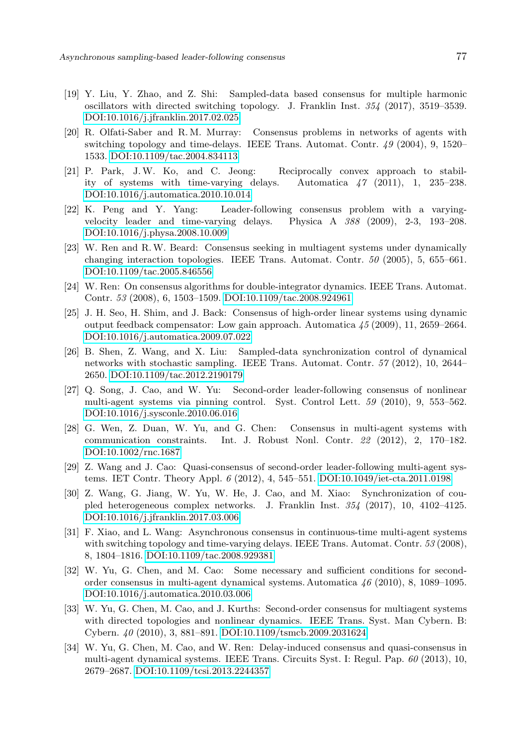- <span id="page-16-10"></span>[19] Y. Liu, Y. Zhao, and Z. Shi: Sampled-data based consensus for multiple harmonic oscillators with directed switching topology. J. Franklin Inst. 354 (2017), 3519–3539. [DOI:10.1016/j.jfranklin.2017.02.025](http://dx.doi.org/10.1016/j.jfranklin.2017.02.025)
- <span id="page-16-0"></span>[20] R. Olfati-Saber and R. M. Murray: Consensus problems in networks of agents with switching topology and time-delays. IEEE Trans. Automat. Contr. 49 (2004), 9, 1520– 1533. [DOI:10.1109/tac.2004.834113](http://dx.doi.org/10.1109/tac.2004.834113)
- <span id="page-16-15"></span>[21] P. Park, J.W. Ko, and C. Jeong: Reciprocally convex approach to stability of systems with time-varying delays. Automatica 47 (2011), 1, 235–238. [DOI:10.1016/j.automatica.2010.10.014](http://dx.doi.org/10.1016/j.automatica.2010.10.014)
- <span id="page-16-7"></span>[22] K. Peng and Y. Yang: Leader-following consensus problem with a varyingvelocity leader and time-varying delays. Physica A 388 (2009), 2-3, 193–208. [DOI:10.1016/j.physa.2008.10.009](http://dx.doi.org/10.1016/j.physa.2008.10.009)
- <span id="page-16-1"></span>[23] W. Ren and R.W. Beard: Consensus seeking in multiagent systems under dynamically changing interaction topologies. IEEE Trans. Automat. Contr. 50 (2005), 5, 655–661. [DOI:10.1109/tac.2005.846556](http://dx.doi.org/10.1109/tac.2005.846556)
- <span id="page-16-2"></span>[24] W. Ren: On consensus algorithms for double-integrator dynamics. IEEE Trans. Automat. Contr. 53 (2008), 6, 1503–1509. [DOI:10.1109/tac.2008.924961](http://dx.doi.org/10.1109/tac.2008.924961)
- <span id="page-16-3"></span>[25] J. H. Seo, H. Shim, and J. Back: Consensus of high-order linear systems using dynamic output feedback compensator: Low gain approach. Automatica 45 (2009), 11, 2659–2664. [DOI:10.1016/j.automatica.2009.07.022](http://dx.doi.org/10.1016/j.automatica.2009.07.022)
- <span id="page-16-11"></span>[26] B. Shen, Z. Wang, and X. Liu: Sampled-data synchronization control of dynamical networks with stochastic sampling. IEEE Trans. Automat. Contr. 57 (2012), 10, 2644– 2650. [DOI:10.1109/tac.2012.2190179](http://dx.doi.org/10.1109/tac.2012.2190179)
- <span id="page-16-8"></span>[27] Q. Song, J. Cao, and W. Yu: Second-order leader-following consensus of nonlinear multi-agent systems via pinning control. Syst. Control Lett. 59 (2010), 9, 553–562. [DOI:10.1016/j.sysconle.2010.06.016](http://dx.doi.org/10.1016/j.sysconle.2010.06.016)
- <span id="page-16-5"></span>[28] G. Wen, Z. Duan, W. Yu, and G. Chen: Consensus in multi-agent systems with communication constraints. Int. J. Robust Nonl. Contr. 22 (2012), 2, 170–182. [DOI:10.1002/rnc.1687](http://dx.doi.org/10.1002/rnc.1687)
- <span id="page-16-9"></span>[29] Z. Wang and J. Cao: Quasi-consensus of second-order leader-following multi-agent systems. IET Contr. Theory Appl. 6 (2012), 4, 545–551. [DOI:10.1049/iet-cta.2011.0198](http://dx.doi.org/10.1049/iet-cta.2011.0198)
- <span id="page-16-13"></span>[30] Z. Wang, G. Jiang, W. Yu, W. He, J. Cao, and M. Xiao: Synchronization of coupled heterogeneous complex networks. J. Franklin Inst. 354 (2017), 10, 4102–4125. [DOI:10.1016/j.jfranklin.2017.03.006](http://dx.doi.org/10.1016/j.jfranklin.2017.03.006)
- <span id="page-16-12"></span>[31] F. Xiao, and L. Wang: Asynchronous consensus in continuous-time multi-agent systems with switching topology and time-varying delays. IEEE Trans. Automat. Contr. 53 (2008), 8, 1804–1816. [DOI:10.1109/tac.2008.929381](http://dx.doi.org/10.1109/tac.2008.929381)
- <span id="page-16-4"></span>[32] W. Yu, G. Chen, and M. Cao: Some necessary and sufficient conditions for secondorder consensus in multi-agent dynamical systems. Automatica 46 (2010), 8, 1089–1095. [DOI:10.1016/j.automatica.2010.03.006](http://dx.doi.org/10.1016/j.automatica.2010.03.006)
- <span id="page-16-6"></span>[33] W. Yu, G. Chen, M. Cao, and J. Kurths: Second-order consensus for multiagent systems with directed topologies and nonlinear dynamics. IEEE Trans. Syst. Man Cybern. B: Cybern. 40 (2010), 3, 881–891. [DOI:10.1109/tsmcb.2009.2031624](http://dx.doi.org/10.1109/tsmcb.2009.2031624)
- <span id="page-16-14"></span>[34] W. Yu, G. Chen, M. Cao, and W. Ren: Delay-induced consensus and quasi-consensus in multi-agent dynamical systems. IEEE Trans. Circuits Syst. I: Regul. Pap. 60 (2013), 10, 2679–2687. [DOI:10.1109/tcsi.2013.2244357](http://dx.doi.org/10.1109/tcsi.2013.2244357)